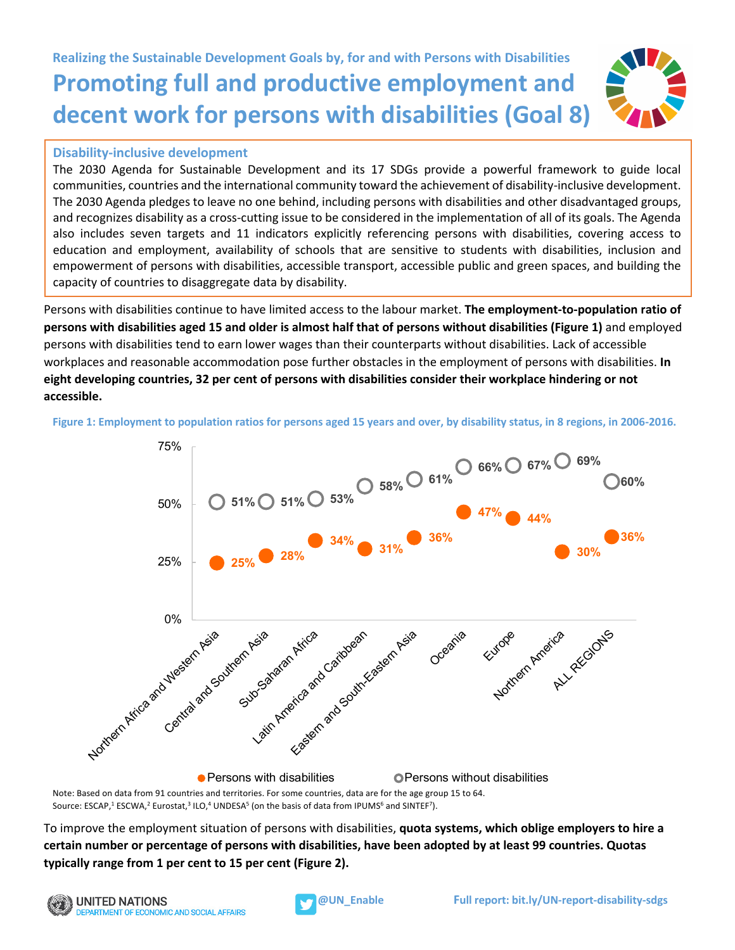## **Realizing the Sustainable Development Goals by, for and with Persons with Disabilities Promoting full and productive employment and decent work for persons with disabilities (Goal 8)**

## **Disability-inclusive development**

The 2030 Agenda for Sustainable Development and its 17 SDGs provide a powerful framework to guide local communities, countries and the international community toward the achievement of disability-inclusive development. The 2030 Agenda pledges to leave no one behind, including persons with disabilities and other disadvantaged groups, and recognizes disability as a cross-cutting issue to be considered in the implementation of all of its goals. The Agenda also includes seven targets and 11 indicators explicitly referencing persons with disabilities, covering access to education and employment, availability of schools that are sensitive to students with disabilities, inclusion and empowerment of persons with disabilities, accessible transport, accessible public and green spaces, and building the capacity of countries to disaggregate data by disability.

Persons with disabilities continue to have limited access to the labour market. **The employment-to-population ratio of persons with disabilities aged 15 and older is almost half that of persons without disabilities (Figure 1)** and employed persons with disabilities tend to earn lower wages than their counterparts without disabilities. Lack of accessible workplaces and reasonable accommodation pose further obstacles in the employment of persons with disabilities. **In eight developing countries, 32 per cent of persons with disabilities consider their workplace hindering or not accessible.**

**Figure 1: Employment to population ratios for persons aged 15 years and over, by disability status, in 8 regions, in 2006-2016.**



Note: Based on data from 91 countries and territories. For some countries, data are for the age group 15 to 64. Source: ESCAP,<sup>1</sup> ESCWA,<sup>2</sup> Eurostat,<sup>3</sup> ILO,<sup>4</sup> UNDESA<sup>5</sup> (on the basis of data from IPUMS<sup>6</sup> and SINTEF<sup>7</sup>).

To improve the employment situation of persons with disabilities, **quota systems, which oblige employers to hire a certain number or percentage of persons with disabilities, have been adopted by at least 99 countries. Quotas typically range from 1 per cent to 15 per cent (Figure 2).**